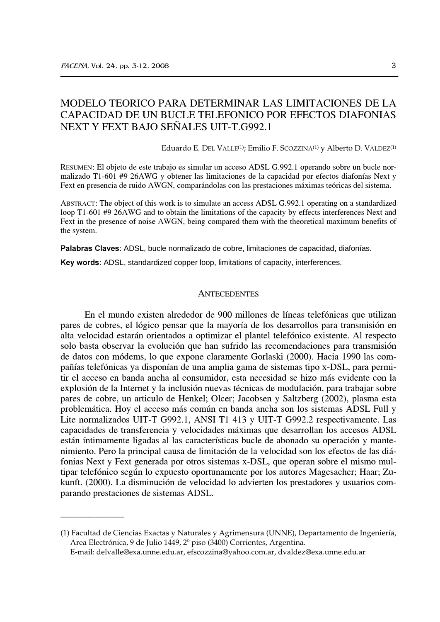# MODELO TEORICO PARA DETERMINAR LAS LIMITACIONES DE LA CAPACIDAD DE UN BUCLE TELEFONICO POR EFECTOS DIAFONIAS NEXT Y FEXT BAJO SEÑALES UIT-T.G992.1

Eduardo E. DEL VALLE<sup>(1)</sup>; Emilio F. SCOZZINA<sup>(1)</sup> y Alberto D. VALDEZ<sup>(1)</sup>

RESUMEN: El objeto de este trabajo es simular un acceso ADSL G.992.1 operando sobre un bucle normalizado T1-601 #9 26AWG y obtener las limitaciones de la capacidad por efectos diafonías Next y Fext en presencia de ruido AWGN, comparándolas con las prestaciones máximas teóricas del sistema.

ABSTRACT: The object of this work is to simulate an access ADSL G.992.1 operating on a standardized loop T1-601 #9 26AWG and to obtain the limitations of the capacity by effects interferences Next and Fext in the presence of noise AWGN, being compared them with the theoretical maximum benefits of the system.

Palabras Claves: ADSL, bucle normalizado de cobre, limitaciones de capacidad, diafonías.

Key words: ADSL, standardized copper loop, limitations of capacity, interferences.

#### ANTECEDENTES

En el mundo existen alrededor de 900 millones de líneas telefónicas que utilizan pares de cobres, el lógico pensar que la mayoría de los desarrollos para transmisión en alta velocidad estarán orientados a optimizar el plantel telefónico existente. Al respecto solo basta observar la evolución que han sufrido las recomendaciones para transmisión de datos con módems, lo que expone claramente Gorlaski (2000). Hacia 1990 las compañías telefónicas ya disponían de una amplia gama de sistemas tipo x-DSL, para permitir el acceso en banda ancha al consumidor, esta necesidad se hizo más evidente con la explosión de la Internet y la inclusión nuevas técnicas de modulación, para trabajar sobre pares de cobre, un articulo de Henkel; Olcer; Jacobsen y Saltzberg (2002), plasma esta problemática. Hoy el acceso más común en banda ancha son los sistemas ADSL Full y Lite normalizados UIT-T G992.1, ANSI T1 413 y UIT-T G992.2 respectivamente. Las capacidades de transferencia y velocidades máximas que desarrollan los accesos ADSL están íntimamente ligadas al las características bucle de abonado su operación y mantenimiento. Pero la principal causa de limitación de la velocidad son los efectos de las diáfonias Next y Fext generada por otros sistemas x-DSL, que operan sobre el mismo multipar telefónico según lo expuesto oportunamente por los autores Magesacher; Haar; Zukunft. (2000). La disminución de velocidad lo advierten los prestadores y usuarios comparando prestaciones de sistemas ADSL.

<sup>(1)</sup> Facultad de Ciencias Exactas y Naturales y Agrimensura (UNNE), Departamento de Ingeniería, Area Electrónica, 9 de Julio 1449, 2º piso (3400) Corrientes, Argentina.

E-mail: delvalle@exa.unne.edu.ar, efscozzina@yahoo.com.ar, dvaldez@exa.unne.edu.ar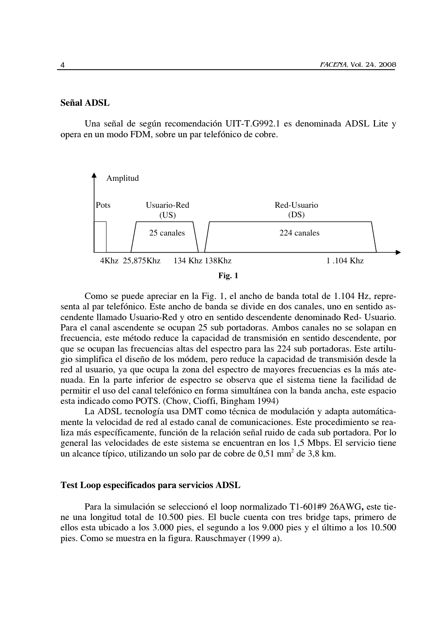## Señal ADSL

Una señal de según recomendación UIT-T.G992.1 es denominada ADSL Lite y opera en un modo FDM, sobre un par telefónico de cobre.



Como se puede apreciar en la Fig. 1, el ancho de banda total de 1.104 Hz, representa al par telefónico. Este ancho de banda se divide en dos canales, uno en sentido ascendente llamado Usuario-Red y otro en sentido descendente denominado Red- Usuario. Para el canal ascendente se ocupan 25 sub portadoras. Ambos canales no se solapan en frecuencia, este método reduce la capacidad de transmisión en sentido descendente, por que se ocupan las frecuencias altas del espectro para las 224 sub portadoras. Este artilugio simplifica el diseño de los módem, pero reduce la capacidad de transmisión desde la red al usuario, ya que ocupa la zona del espectro de mayores frecuencias es la más atenuada. En la parte inferior de espectro se observa que el sistema tiene la facilidad de permitir el uso del canal telefónico en forma simultánea con la banda ancha, este espacio esta indicado como POTS. (Chow, Cioffi, Bingham 1994)

La ADSL tecnología usa DMT como técnica de modulación y adapta automáticamente la velocidad de red al estado canal de comunicaciones. Este procedimiento se realiza más específicamente, función de la relación señal ruido de cada sub portadora. Por lo general las velocidades de este sistema se encuentran en los 1,5 Mbps. El servicio tiene un alcance típico, utilizando un solo par de cobre de  $0.51$  mm<sup>2</sup> de  $3.8$  km.

#### **Test Loop especificados para servicios ADSL**

Para la simulación se seleccionó el loop normalizado T1-601#9 26AWG, este tiene una longitud total de 10.500 pies. El bucle cuenta con tres bridge taps, primero de ellos esta ubicado a los 3.000 pies, el segundo a los 9.000 pies y el último a los 10.500 pies. Como se muestra en la figura. Rauschmayer (1999 a).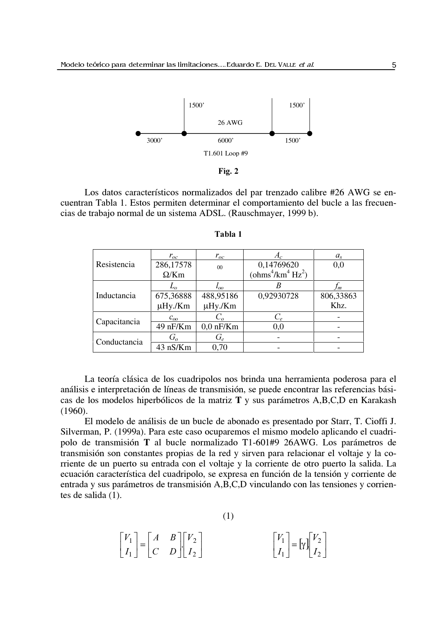



Los datos característicos normalizados del par trenzado calibre #26 AWG se encuentran Tabla 1. Estos permiten determinar el comportamiento del bucle a las frecuencias de trabajo normal de un sistema ADSL. (Rauschmayer, 1999 b).

|              | $r_{oc}$     | $r_{oc}$       | $A_c$             | $a_{s}$   |
|--------------|--------------|----------------|-------------------|-----------|
| Resistencia  | 286,17578    | 0 <sub>0</sub> | 0,14769620        | 0,0       |
|              | $\Omega/Km$  |                | $(ohms4/km4 Hz2)$ |           |
| Inductancia  | $L_{\alpha}$ | $\iota_{oo}$   |                   | m         |
|              | 675,36888    | 488,95186      | 0,92930728        | 806,33863 |
|              | µHy./Km      | µHy./Km        |                   | Khz.      |
| Capacitancia | $c_{oo}$     | $C_{\alpha}$   | $C_e$             |           |
|              | 49 nF/Km     | $0,0$ nF/Km    | 0,0               |           |
| Conductancia | $G_{\alpha}$ | $G_e$          |                   |           |
|              | 43 nS/Km     | 0.70           |                   |           |

Tabla 1

La teoría clásica de los cuadripolos nos brinda una herramienta poderosa para el análisis e interpretación de líneas de transmisión, se puede encontrar las referencias básicas de los modelos hiperbólicos de la matriz T y sus parámetros A,B,C,D en Karakash  $(1960).$ 

El modelo de análisis de un bucle de abonado es presentado por Starr, T. Cioffi J. Silverman, P. (1999a). Para este caso ocuparemos el mismo modelo aplicando el cuadripolo de transmisión T al bucle normalizado T1-601#9 26AWG. Los parámetros de transmisión son constantes propias de la red y sirven para relacionar el voltaje y la corriente de un puerto su entrada con el voltaje y la corriente de otro puerto la salida. La ecuación característica del cuadripolo, se expresa en función de la tensión y corriente de entrada y sus parámetros de transmisión A,B,C,D vinculando con las tensiones y corrientes de salida (1).

$$
\begin{bmatrix} V_1 \\ I_1 \end{bmatrix} = \begin{bmatrix} A & B \\ C & D \end{bmatrix} \begin{bmatrix} V_2 \\ I_2 \end{bmatrix}
$$

$$
\begin{bmatrix} V_1 \\ I_1 \end{bmatrix} = \begin{bmatrix} V_1 \\ I_2 \end{bmatrix}
$$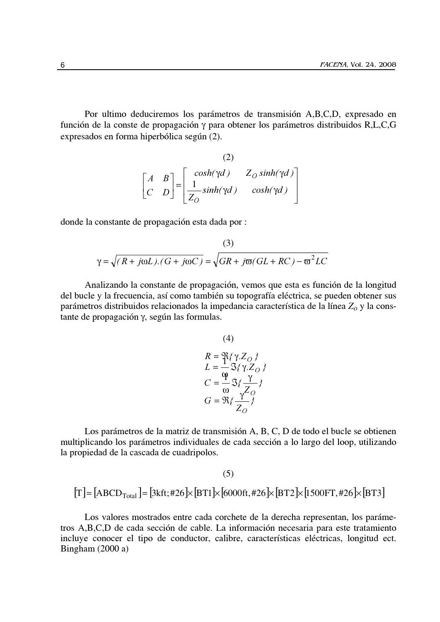Por ultimo deduciremos los parámetros de transmisión A,B,C,D, expresado en función de la conste de propagación y para obtener los parámetros distribuidos R,L,C,G expresados en forma hiperbólica según (2).

 $\sim$ 

(2)  
\n
$$
\begin{bmatrix} A & B \\ C & D \end{bmatrix} = \begin{bmatrix} \cosh(\gamma d) & Z_O \sinh(\gamma d) \\ \frac{1}{Z_O} \sinh(\gamma d) & \cosh(\gamma d) \end{bmatrix}
$$

donde la constante de propagación esta dada por :

(3)  
\n
$$
\gamma = \sqrt{(R + j\omega L).(G + j\omega C)} = \sqrt{GR + j\omega(GL + RC) - \omega^2 LC}
$$

Analizando la constante de propagación, vemos que esta es función de la longitud del bucle y la frecuencia, así como también su topografía eléctrica, se pueden obtener sus parámetros distribuidos relacionados la impedancia característica de la línea  $Z_0$  y la constante de propagación  $\gamma$ , según las formulas.

(4)  
\n
$$
R = \mathfrak{P}{\{\gamma Z_O\}}
$$
\n
$$
L = \frac{1}{2} \mathfrak{F}{\{\gamma Z_O\}}
$$
\n
$$
C = \frac{\mathfrak{P}}{\omega} \mathfrak{F}{\{\frac{\gamma}{Z_O}\}}
$$
\n
$$
G = \mathfrak{R}{\{\frac{\gamma}{Z_O}\}}
$$

Los parámetros de la matriz de transmisión A, B, C, D de todo el bucle se obtienen multiplicando los parámetros individuales de cada sección a lo largo del loop, utilizando la propiedad de la cascada de cuadripolos.

Los valores mostrados entre cada corchete de la derecha representan, los parámetros A,B,C,D de cada sección de cable. La información necesaria para este tratamiento incluye conocer el tipo de conductor, calibre, características eléctricas, longitud ect. Bingham  $(2000a)$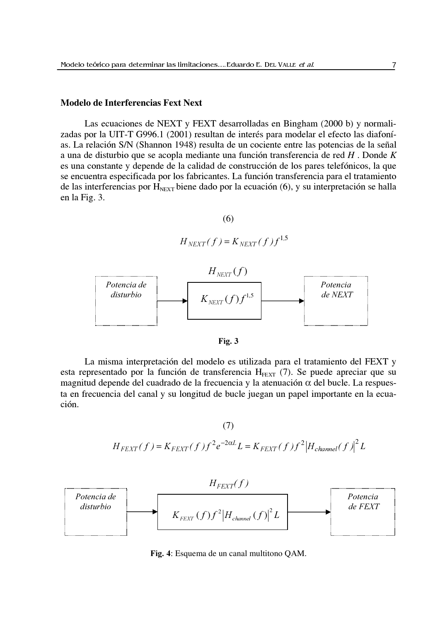## **Modelo de Interferencias Fext Next**

Las ecuaciones de NEXT y FEXT desarrolladas en Bingham (2000 b) y normalizadas por la UIT-T G996.1 (2001) resultan de interés para modelar el efecto las diafonías. La relación S/N (Shannon 1948) resulta de un cociente entre las potencias de la señal a una de disturbio que se acopla mediante una función transferencia de red  $H$ . Donde  $K$ es una constante y depende de la calidad de construcción de los pares telefónicos, la que se encuentra especificada por los fabricantes. La función transferencia para el tratamiento de las interferencias por  $H_{NEXT}$  biene dado por la ecuación (6), y su interpretación se halla en la Fig. 3.

$$
(6)
$$

$$
H_{NEXT}(f) = K_{NEXT}(f)f^{1,5}
$$





La misma interpretación del modelo es utilizada para el tratamiento del FEXT y esta representado por la función de transferencia  $H_{FET}$  (7). Se puede apreciar que su magnitud depende del cuadrado de la frecuencia y la atenuación  $\alpha$  del bucle. La respuesta en frecuencia del canal y su longitud de bucle juegan un papel importante en la ecuación.

 $(7)$ 

$$
H_{FEXT}(f) = K_{FEXT}(f)f^{2}e^{-2\alpha L}L = K_{FEXT}(f)f^{2}|H_{channel}(f)|^{2}L
$$



Fig. 4: Esquema de un canal multitono QAM.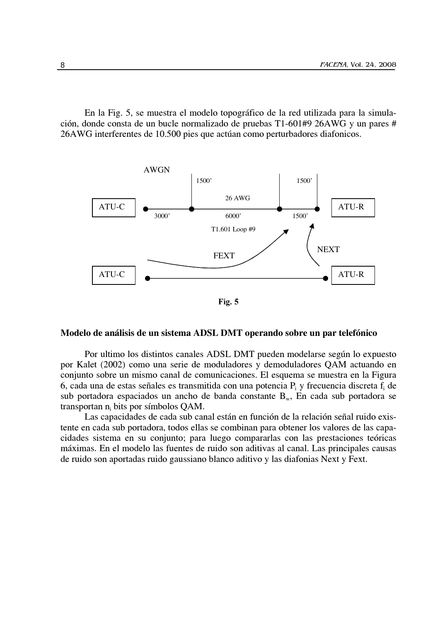En la Fig. 5, se muestra el modelo topográfico de la red utilizada para la simulación, donde consta de un bucle normalizado de pruebas T1-601#9 26AWG y un pares # 26AWG interferentes de 10.500 pies que actúan como perturbadores diafonicos.



Fig. 5

#### Modelo de análisis de un sistema ADSL DMT operando sobre un par telefónico

Por ultimo los distintos canales ADSL DMT pueden modelarse según lo expuesto por Kalet (2002) como una serie de moduladores y demoduladores OAM actuando en conjunto sobre un mismo canal de comunicaciones. El esquema se muestra en la Figura 6, cada una de estas señales es transmitida con una potencia  $P_i$  y frecuencia discreta  $f_i$  de sub portadora espaciados un ancho de banda constante  $B_w$ , En cada sub portadora se transportan  $n_i$  bits por símbolos QAM.

Las capacidades de cada sub canal están en función de la relación señal ruido existente en cada sub portadora, todos ellas se combinan para obtener los valores de las capacidades sistema en su conjunto; para luego compararlas con las prestaciones teóricas máximas. En el modelo las fuentes de ruido son aditivas al canal. Las principales causas de ruido son aportadas ruido gaussiano blanco aditivo y las diafonias Next y Fext.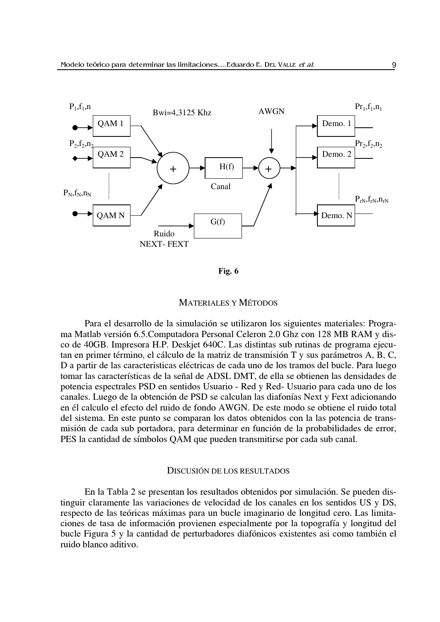

Fig. 6

#### **MATERIALES Y MÉTODOS**

Para el desarrollo de la simulación se utilizaron los siguientes materiales: Programa Matlab versión 6.5. Computadora Personal Celeron 2.0 Ghz con 128 MB RAM y disco de 40GB. Impresora H.P. Deskjet 640C. Las distintas sub rutinas de programa ejecutan en primer término, el cálculo de la matriz de transmisión T y sus parámetros A, B, C, D a partir de las caracteristicas eléctricas de cada uno de los tramos del bucle. Para luego tomar las características de la señal de ADSL DMT, de ella se obtienen las densidades de potencia espectrales PSD en sentidos Usuario - Red y Red- Usuario para cada uno de los canales. Luego de la obtención de PSD se calculan las diafonías Next y Fext adicionando en él calculo el efecto del ruido de fondo AWGN. De este modo se obtiene el ruido total del sistema. En este punto se comparan los datos obtenidos con la las potencia de transmisión de cada sub portadora, para determinar en función de la probabilidades de error, PES la cantidad de símbolos QAM que pueden transmitirse por cada sub canal.

# DISCUSIÓN DE LOS RESULTADOS

En la Tabla 2 se presentan los resultados obtenidos por simulación. Se pueden distinguir claramente las variaciones de velocidad de los canales en los sentidos US y DS, respecto de las teóricas máximas para un bucle imaginario de longitud cero. Las limitaciones de tasa de información provienen especialmente por la topografía y longitud del bucle Figura 5 y la cantidad de perturbadores diafónicos existentes asi como también el ruido blanco aditivo.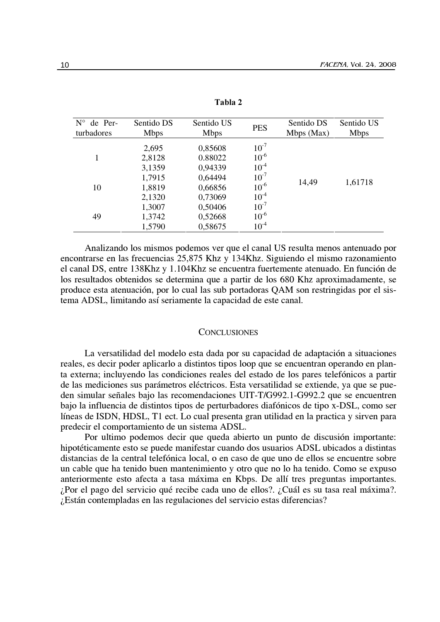| $N^{\circ}$<br>de Per-<br>turbadores | Sentido DS<br><b>Mbps</b>  | Sentido US<br><b>Mbps</b>     | <b>PES</b>                          | Sentido DS<br>Mbps (Max) | Sentido US<br><b>Mbps</b> |
|--------------------------------------|----------------------------|-------------------------------|-------------------------------------|--------------------------|---------------------------|
| 1                                    | 2,695<br>2,8128<br>3,1359  | 0,85608<br>0.88022<br>0,94339 | $10^{-7}$<br>$10^{-6}$<br>$10^{-4}$ | 14,49                    | 1,61718                   |
| 10                                   | 1,7915<br>1,8819<br>2,1320 | 0,64494<br>0,66856<br>0,73069 | $10^{-7}$<br>$10^{-6}$<br>$10^{-4}$ |                          |                           |
| 49                                   | 1,3007<br>1,3742<br>1,5790 | 0,50406<br>0,52668<br>0,58675 | $10^{-7}$<br>$10^{-6}$<br>$10^{-4}$ |                          |                           |

Tabla 2

Analizando los mismos podemos ver que el canal US resulta menos antenuado por encontrarse en las frecuencias 25,875 Khz y 134Khz. Siguiendo el mismo razonamiento el canal DS, entre 138Khz y 1.104Khz se encuentra fuertemente atenuado. En función de los resultados obtenidos se determina que a partir de los 680 Khz aproximadamente, se produce esta atenuación, por lo cual las sub portadoras QAM son restringidas por el sistema ADSL, limitando así seriamente la capacidad de este canal.

#### **CONCLUSIONES**

La versatilidad del modelo esta dada por su capacidad de adaptación a situaciones reales, es decir poder aplicarlo a distintos tipos loop que se encuentran operando en planta externa; incluyendo las condiciones reales del estado de los pares telefónicos a partir de las mediciones sus parámetros eléctricos. Esta versatilidad se extiende, ya que se pueden simular señales bajo las recomendaciones UIT-T/G992.1-G992.2 que se encuentren bajo la influencia de distintos tipos de perturbadores diafónicos de tipo x-DSL, como ser líneas de ISDN, HDSL, T1 ect. Lo cual presenta gran utilidad en la practica y sirven para predecir el comportamiento de un sistema ADSL.

Por ultimo podemos decir que queda abierto un punto de discusión importante: hipotéticamente esto se puede manifestar cuando dos usuarios ADSL ubicados a distintas distancias de la central telefónica local, o en caso de que uno de ellos se encuentre sobre un cable que ha tenido buen mantenimiento y otro que no lo ha tenido. Como se expuso anteriormente esto afecta a tasa máxima en Kbps. De allí tres preguntas importantes. ¿Por el pago del servicio qué recibe cada uno de ellos?. ¿Cuál es su tasa real máxima?. ¿Están contempladas en las regulaciones del servicio estas diferencias?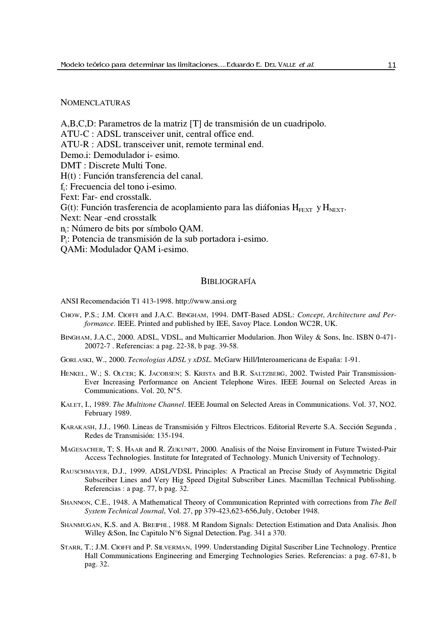# **NOMENCLATURAS**

A,B,C,D: Parametros de la matriz [T] de transmisión de un cuadripolo. ATU-C : ADSL transceiver unit, central office end. ATU-R : ADSL transceiver unit, remote terminal end. Demo.i: Demodulador i- esimo. DMT: Discrete Multi Tone.  $H(t)$ : Función transferencia del canal. f.: Frecuencia del tono i-esimo. Fext: Far- end crosstalk.  $G(t)$ : Función trasferencia de acoplamiento para las diáfonias  $H_{FEXT}$  y  $H_{NEXT}$ . Next: Near - end crosstalk n.: Número de bits por símbolo QAM. P.: Potencia de transmisión de la sub portadora i-esimo. QAMi: Modulador QAM i-esimo.

### **BIBLIOGRAFÍA**

ANSI Recomendación T1 413-1998. http://www.ansi.org

- CHOW, P.S.; J.M. CIOFFI and J.A.C. BINGHAM, 1994. DMT-Based ADSL: Concept, Architecture and Performance. IEEE. Printed and published by IEE, Savoy Place. London WC2R, UK.
- BINGHAM, J.A.C., 2000. ADSL, VDSL, and Multicarrier Modularion. Jhon Wiley & Sons, Inc. ISBN 0-471-20072-7. Referencias: a pag. 22-38, b pag. 39-58.
- GORLASKI, W., 2000. Tecnologias ADSL y xDSL. McGarw Hill/Interoamericana de España: 1-91.
- HENKEL, W.; S. OLCER; K. JACOBSEN; S. KRISTA and B.R. SALTZBERG, 2002. Twisted Pair Transmission-Ever Increasing Performance on Ancient Telephone Wires. IEEE Journal on Selected Areas in Communications. Vol. 20, N°5.
- KALET, I., 1989. The Multitone Channel. IEEE Journal on Selected Areas in Communications. Vol. 37, NO2. February 1989.
- KARAKASH, J.J., 1960. Lineas de Transmisión y Filtros Electricos. Editorial Reverte S.A. Sección Segunda, Redes de Transmisión: 135-194.
- MAGESACHER, T; S. HAAR and R. ZUKUNFT, 2000. Analisis of the Noise Enviroment in Future Twisted-Pair Access Technologies. Institute for Integrated of Technology. Munich University of Technology.
- RAUSCHMAYER, D.J., 1999. ADSL/VDSL Principles: A Practical an Precise Study of Asymmetric Digital Subscriber Lines and Very Hig Speed Digital Subscriber Lines. Macmillan Technical Publisshing. Referencias : a pag. 77, b pag. 32.
- SHANNON, C.E., 1948. A Mathematical Theory of Communication Reprinted with corrections from The Bell System Technical Journal, Vol. 27, pp 379-423,623-656, July, October 1948.
- SHANMUGAN, K.S. and A. BREIPHL, 1988. M Random Signals: Detection Estimation and Data Analisis. Jhon Willey &Son, Inc Capitulo N°6 Signal Detection. Pag. 341 a 370.
- STARR, T.; J.M. CIOFFI and P. SILVERMAN, 1999. Understanding Digital Suscriber Line Technology. Prentice Hall Communications Engineering and Emerging Technologies Series, Referencias; a pag. 67-81, b pag. 32.